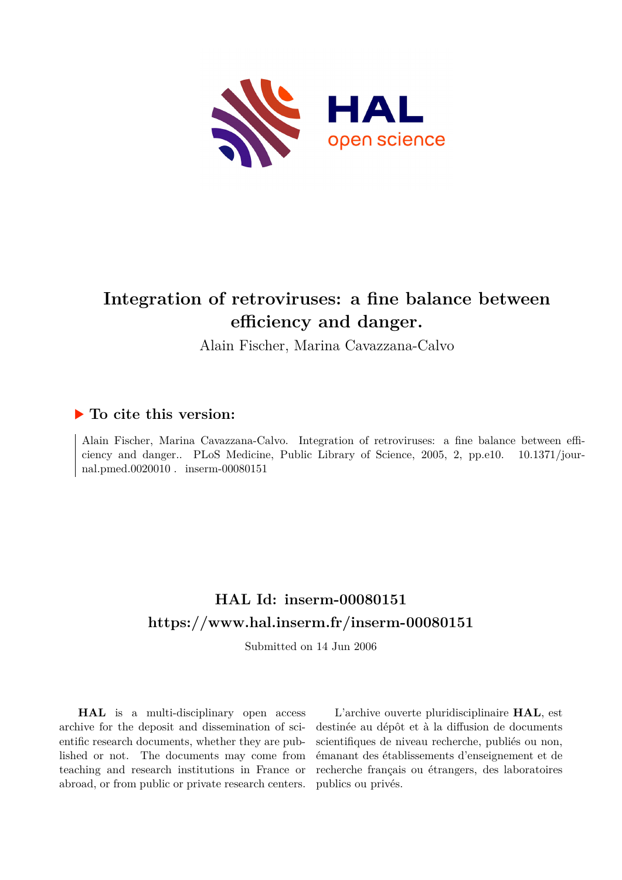

## **Integration of retroviruses: a fine balance between efficiency and danger.**

Alain Fischer, Marina Cavazzana-Calvo

### **To cite this version:**

Alain Fischer, Marina Cavazzana-Calvo. Integration of retroviruses: a fine balance between efficiency and danger.. PLoS Medicine, Public Library of Science, 2005, 2, pp.e10.  $10.1371/jour$ nal.pmed.0020010  $\ldots$  inserm-00080151

## **HAL Id: inserm-00080151 <https://www.hal.inserm.fr/inserm-00080151>**

Submitted on 14 Jun 2006

**HAL** is a multi-disciplinary open access archive for the deposit and dissemination of scientific research documents, whether they are published or not. The documents may come from teaching and research institutions in France or abroad, or from public or private research centers.

L'archive ouverte pluridisciplinaire **HAL**, est destinée au dépôt et à la diffusion de documents scientifiques de niveau recherche, publiés ou non, émanant des établissements d'enseignement et de recherche français ou étrangers, des laboratoires publics ou privés.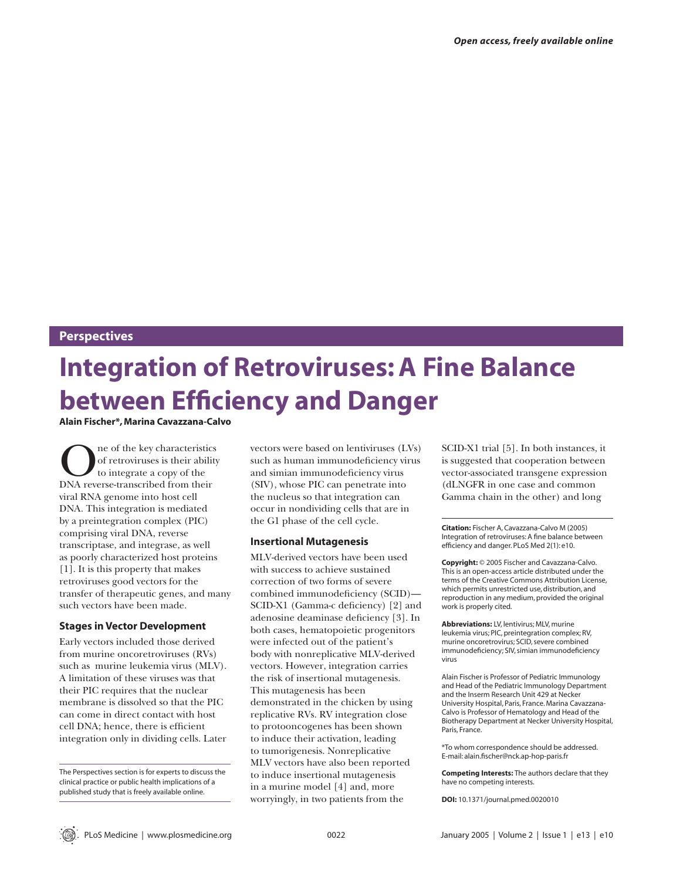#### **Perspectives**

# **Integration of Retroviruses: A Fine Balance between Efficiency and Danger**

**Alain Fischer\*, Marina Cavazzana-Calvo** 

 $\begin{array}{c} \displaystyle\bigcap_{\text{no~of~the~key~characteristics}} \hspace{-2mm}\text{of~retroviruses~is~their~ability} \hspace{-2mm}\text{to~integrate~a~copy~of~the} \hspace{-2mm}\text{DNA reverse-transcribed from their} \end{array}$ of retroviruses is their ability to integrate a copy of the viral RNA genome into host cell DNA. This integration is mediated by a preintegration complex (PIC) comprising viral DNA, reverse transcriptase, and integrase, as well as poorly characterized host proteins [1]. It is this property that makes retroviruses good vectors for the transfer of therapeutic genes, and many such vectors have been made.

#### **Stages in Vector Development**

Early vectors included those derived from murine oncoretroviruses (RVs) such as murine leukemia virus (MLV). A limitation of these viruses was that their PIC requires that the nuclear membrane is dissolved so that the PIC can come in direct contact with host cell DNA; hence, there is efficient integration only in dividing cells. Later

The Perspectives section is for experts to discuss the clinical practice or public health implications of a published study that is freely available online.

vectors were based on lentiviruses (LVs) such as human immunodeficiency virus and simian immunodeficiency virus (SIV), whose PIC can penetrate into the nucleus so that integration can occur in nondividing cells that are in the G1 phase of the cell cycle.

#### **Insertional Mutagenesis**

MLV-derived vectors have been used with success to achieve sustained correction of two forms of severe combined immunodeficiency (SCID)-SCID-X1 (Gamma-c deficiency) [2] and adenosine deaminase deficiency [3]. In both cases, hematopoietic progenitors were infected out of the patient's body with nonreplicative MLV-derived vectors. However, integration carries the risk of insertional mutagenesis. This mutagenesis has been demonstrated in the chicken by using replicative RVs. RV integration close to protooncogenes has been shown to induce their activation, leading to tumorigenesis. Nonreplicative MLV vectors have also been reported to induce insertional mutagenesis in a murine model [4] and, more worryingly, in two patients from the

SCID-X1 trial [5]. In both instances, it is suggested that cooperation between vector-associated transgene expression (dLNGFR in one case and common Gamma chain in the other) and long

**Citation:** Fischer A, Cavazzana-Calvo M (2005) Integration of retroviruses: A fine balance between efficiency and danger. PLoS Med 2(1): e10.

**Copyright:** © 2005 Fischer and Cavazzana-Calvo. This is an open-access article distributed under the terms of the Creative Commons Attribution License, which permits unrestricted use, distribution, and reproduction in any medium, provided the original work is properly cited.

**Abbreviations:** LV, lentivirus; MLV, murine leukemia virus; PIC, preintegration complex; RV, murine oncoretrovirus; SCID, severe combined immunodeficiency; SIV, simian immunodeficiency virus

Alain Fischer is Professor of Pediatric Immunology and Head of the Pediatric Immunology Department and the Inserm Research Unit 429 at Necker University Hospital, Paris, France. Marina Cavazzana-Calvo is Professor of Hematology and Head of the Biotherapy Department at Necker University Hospital, Paris, France.

\*To whom correspondence should be addressed. E-mail: alain.fischer@nck.ap-hop-paris.fr

**Competing Interests:** The authors declare that they have no competing interests.

**DOI:** 10.1371/journal.pmed.0020010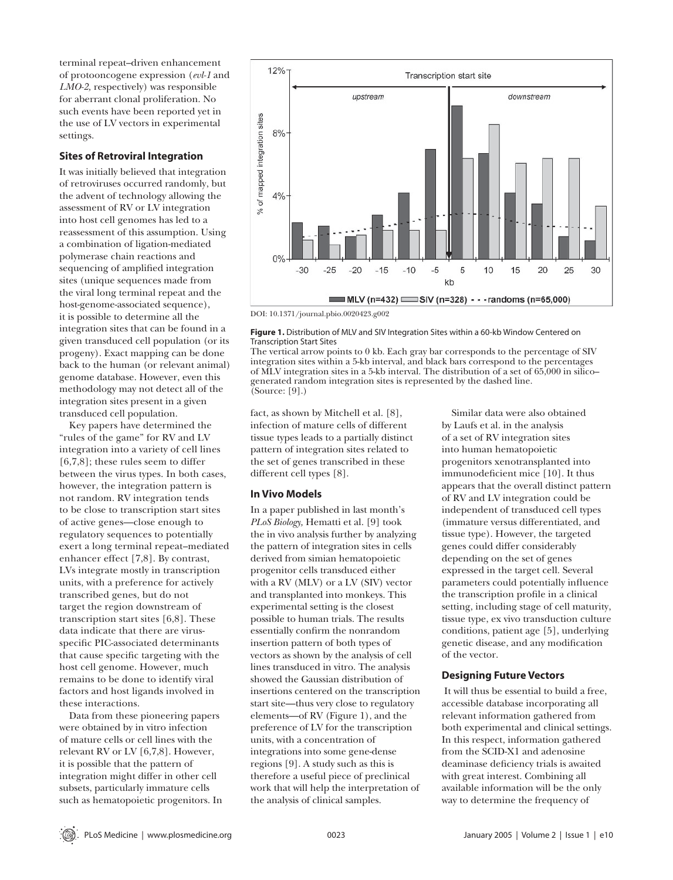terminal repeat–driven enhancement of protooncogene expression (*evl-1* and *LMO-2,* respectively) was responsible for aberrant clonal proliferation. No such events have been reported yet in the use of LV vectors in experimental settings.

#### **Sites of Retroviral Integration**

It was initially believed that integration of retroviruses occurred randomly, but the advent of technology allowing the assessment of RV or LV integration into host cell genomes has led to a reassessment of this assumption. Using a combination of ligation-mediated polymerase chain reactions and sequencing of amplified integration sites (unique sequences made from the viral long terminal repeat and the host-genome-associated sequence), it is possible to determine all the integration sites that can be found in a given transduced cell population (or its progeny). Exact mapping can be done back to the human (or relevant animal) genome database. However, even this methodology may not detect all of the integration sites present in a given transduced cell population.

Key papers have determined the "rules of the game" for RV and LV integration into a variety of cell lines [6,7,8]; these rules seem to differ between the virus types. In both cases, however, the integration pattern is not random. RV integration tends to be close to transcription start sites of active genes—close enough to regulatory sequences to potentially exert a long terminal repeat–mediated enhancer effect [7,8]. By contrast, LVs integrate mostly in transcription units, with a preference for actively transcribed genes, but do not target the region downstream of transcription start sites [6,8]. These data indicate that there are virusspecific PIC-associated determinants that cause specific targeting with the host cell genome. However, much remains to be done to identify viral factors and host ligands involved in these interactions.

Data from these pioneering papers were obtained by in vitro infection of mature cells or cell lines with the relevant RV or LV [6,7,8]. However, it is possible that the pattern of integration might differ in other cell subsets, particularly immature cells such as hematopoietic progenitors. In



DOI: 10.1371/journal.pbio.0020423.g002

**Figure 1.** Distribution of MLV and SIV Integration Sites within a 60-kb Window Centered on Transcription Start Sites

The vertical arrow points to 0 kb. Each gray bar corresponds to the percentage of SIV integration sites within a 5-kb interval, and black bars correspond to the percentages of MLV integration sites in a 5-kb interval. The distribution of a set of 65,000 in silico– generated random integration sites is represented by the dashed line. (Source: [9].)

fact, as shown by Mitchell et al. [8], infection of mature cells of different tissue types leads to a partially distinct pattern of integration sites related to the set of genes transcribed in these different cell types [8].

#### **In Vivo Models**

In a paper published in last month's *PLoS Biology,* Hematti et al. [9] took the in vivo analysis further by analyzing the pattern of integration sites in cells derived from simian hematopoietic progenitor cells transduced either with a RV (MLV) or a LV (SIV) vector and transplanted into monkeys. This experimental setting is the closest possible to human trials. The results essentially confirm the nonrandom insertion pattern of both types of vectors as shown by the analysis of cell lines transduced in vitro. The analysis showed the Gaussian distribution of insertions centered on the transcription start site—thus very close to regulatory elements—of RV (Figure 1), and the preference of LV for the transcription units, with a concentration of integrations into some gene-dense regions [9]. A study such as this is therefore a useful piece of preclinical work that will help the interpretation of the analysis of clinical samples.

Similar data were also obtained by Laufs et al. in the analysis of a set of RV integration sites into human hematopoietic progenitors xenotransplanted into immunodeficient mice [10]. It thus appears that the overall distinct pattern of RV and LV integration could be independent of transduced cell types (immature versus differentiated, and tissue type). However, the targeted genes could differ considerably depending on the set of genes expressed in the target cell. Several parameters could potentially influence the transcription profile in a clinical setting, including stage of cell maturity, tissue type, ex vivo transduction culture conditions, patient age [5], underlying genetic disease, and any modification of the vector.

#### **Designing Future Vectors**

 It will thus be essential to build a free, accessible database incorporating all relevant information gathered from both experimental and clinical settings. In this respect, information gathered from the SCID-X1 and adenosine deaminase deficiency trials is awaited with great interest. Combining all available information will be the only way to determine the frequency of